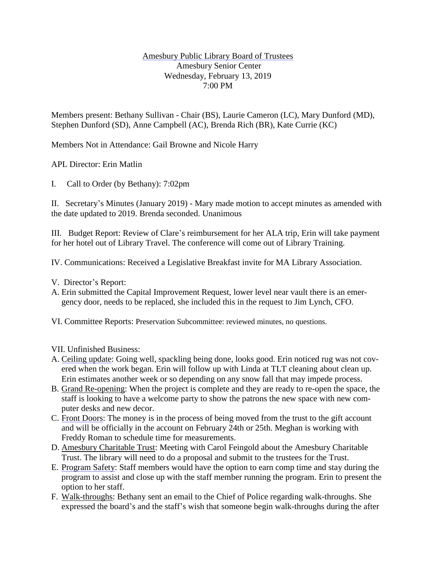## Amesbury Public Library Board of Trustees Amesbury Senior Center Wednesday, February 13, 2019 7:00 PM

Members present: Bethany Sullivan - Chair (BS), Laurie Cameron (LC), Mary Dunford (MD), Stephen Dunford (SD), Anne Campbell (AC), Brenda Rich (BR), Kate Currie (KC)

Members Not in Attendance: Gail Browne and Nicole Harry

APL Director: Erin Matlin

I. Call to Order (by Bethany): 7:02pm

II. Secretary's Minutes (January 2019) - Mary made motion to accept minutes as amended with the date updated to 2019. Brenda seconded. Unanimous

III. Budget Report: Review of Clare's reimbursement for her ALA trip, Erin will take payment for her hotel out of Library Travel. The conference will come out of Library Training.

IV. Communications: Received a Legislative Breakfast invite for MA Library Association.

- V. Director's Report:
- A. Erin submitted the Capital Improvement Request, lower level near vault there is an emergency door, needs to be replaced, she included this in the request to Jim Lynch, CFO.

VI. Committee Reports: Preservation Subcommittee: reviewed minutes, no questions.

VII. Unfinished Business:

- A. Ceiling update: Going well, spackling being done, looks good. Erin noticed rug was not covered when the work began. Erin will follow up with Linda at TLT cleaning about clean up. Erin estimates another week or so depending on any snow fall that may impede process.
- B. Grand Re-opening: When the project is complete and they are ready to re-open the space, the staff is looking to have a welcome party to show the patrons the new space with new computer desks and new decor.
- C. Front Doors: The money is in the process of being moved from the trust to the gift account and will be officially in the account on February 24th or 25th. Meghan is working with Freddy Roman to schedule time for measurements.
- D. Amesbury Charitable Trust: Meeting with Carol Feingold about the Amesbury Charitable Trust. The library will need to do a proposal and submit to the trustees for the Trust.
- E. Program Safety: Staff members would have the option to earn comp time and stay during the program to assist and close up with the staff member running the program. Erin to present the option to her staff.
- F. Walk-throughs: Bethany sent an email to the Chief of Police regarding walk-throughs. She expressed the board's and the staff's wish that someone begin walk-throughs during the after